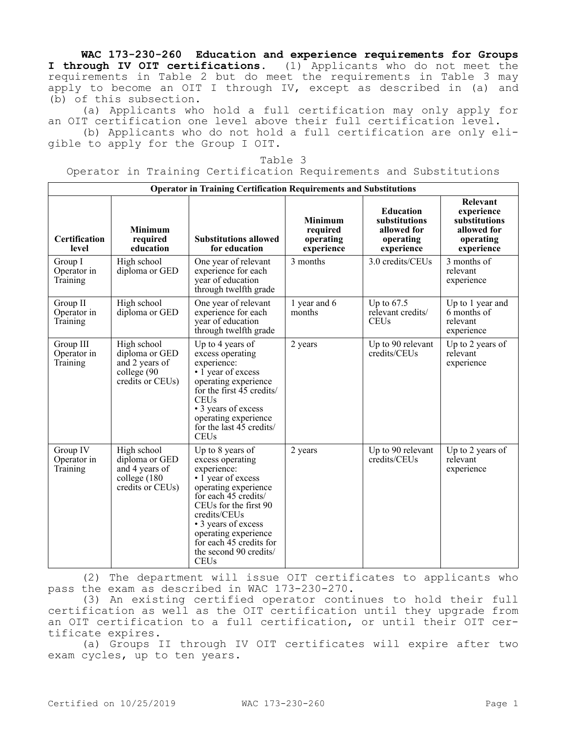**WAC 173-230-260 Education and experience requirements for Groups I through IV OIT certifications.** (1) Applicants who do not meet the requirements in Table 2 but do meet the requirements in Table 3 may apply to become an OIT I through IV, except as described in (a) and (b) of this subsection.

(a) Applicants who hold a full certification may only apply for an OIT certification one level above their full certification level.

(b) Applicants who do not hold a full certification are only eligible to apply for the Group I OIT.

|  | u Ur |  |
|--|------|--|
|--|------|--|

Operator in Training Certification Requirements and Substitutions

| <b>Operator in Training Certification Requirements and Substitutions</b> |                                                                                     |                                                                                                                                                                                                                                                                                       |                                                       |                                                                             |                                                                                   |  |  |
|--------------------------------------------------------------------------|-------------------------------------------------------------------------------------|---------------------------------------------------------------------------------------------------------------------------------------------------------------------------------------------------------------------------------------------------------------------------------------|-------------------------------------------------------|-----------------------------------------------------------------------------|-----------------------------------------------------------------------------------|--|--|
| Certification<br>level                                                   | <b>Minimum</b><br>required<br>education                                             | <b>Substitutions allowed</b><br>for education                                                                                                                                                                                                                                         | <b>Minimum</b><br>required<br>operating<br>experience | <b>Education</b><br>substitutions<br>allowed for<br>operating<br>experience | Relevant<br>experience<br>substitutions<br>allowed for<br>operating<br>experience |  |  |
| Group I<br>Operator in<br>Training                                       | High school<br>diploma or GED                                                       | One year of relevant<br>experience for each<br>year of education<br>through twelfth grade                                                                                                                                                                                             | 3 months                                              | 3.0 credits/CEUs                                                            | 3 months of<br>relevant<br>experience                                             |  |  |
| Group II<br>Operator in<br>Training                                      | High school<br>diploma or GED                                                       | One year of relevant<br>experience for each<br>year of education<br>through twelfth grade                                                                                                                                                                                             | 1 year and 6<br>months                                | Up to $67.5$<br>relevant credits/<br><b>CEUs</b>                            | Up to 1 year and<br>6 months of<br>relevant<br>experience                         |  |  |
| Group III<br>Operator in<br>Training                                     | High school<br>diploma or GED<br>and 2 years of<br>college (90<br>credits or CEUs)  | Up to 4 years of<br>excess operating<br>experience:<br>$\cdot$ 1 year of excess<br>operating experience<br>for the first $45$ credits/<br><b>CEUs</b><br>• 3 years of excess<br>operating experience<br>for the last 45 credits/<br><b>CEUs</b>                                       | 2 years                                               | Up to 90 relevant<br>credits/CEUs                                           | Up to 2 years of<br>relevant<br>experience                                        |  |  |
| Group IV<br>Operator in<br>Training                                      | High school<br>diploma or GED<br>and 4 years of<br>college (180<br>credits or CEUs) | Up to 8 years of<br>excess operating<br>experience:<br>• 1 year of excess<br>operating experience<br>for each 45 credits/<br>CEUs for the first 90<br>credits/CEUs<br>• 3 years of excess<br>operating experience<br>for each 45 credits for<br>the second 90 credits/<br><b>CEUs</b> | 2 years                                               | Up to 90 relevant<br>credits/CEUs                                           | Up to 2 years of<br>relevant<br>experience                                        |  |  |

(2) The department will issue OIT certificates to applicants who pass the exam as described in WAC 173-230-270.

(3) An existing certified operator continues to hold their full certification as well as the OIT certification until they upgrade from an OIT certification to a full certification, or until their OIT certificate expires.

(a) Groups II through IV OIT certificates will expire after two exam cycles, up to ten years.